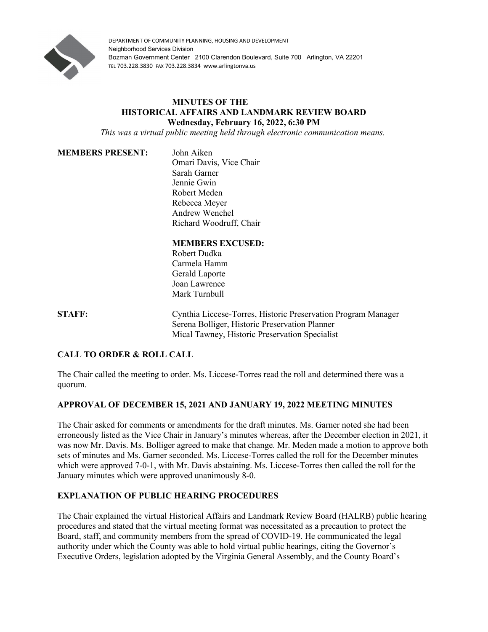

DEPARTMENT OF COMMUNITY PLANNING, HOUSING AND DEVELOPMENT Neighborhood Services Division Bozman Government Center 2100 Clarendon Boulevard, Suite 700 Arlington, VA 22201 TEL 703.228.3830 FAX 703.228.3834 www.arlingtonva.us

### **MINUTES OF THE HISTORICAL AFFAIRS AND LANDMARK REVIEW BOARD Wednesday, February 16, 2022, 6:30 PM**

*This was a virtual public meeting held through electronic communication means.*

#### **MEMBERS PRESENT:** John Aiken

Omari Davis, Vice Chair Sarah Garner Jennie Gwin Robert Meden Rebecca Meyer Andrew Wenchel Richard Woodruff, Chair

# **MEMBERS EXCUSED:**

Robert Dudka Carmela Hamm Gerald Laporte Joan Lawrence Mark Turnbull

**STAFF:** Cynthia Liccese-Torres, Historic Preservation Program Manager Serena Bolliger, Historic Preservation Planner Mical Tawney, Historic Preservation Specialist

### **CALL TO ORDER & ROLL CALL**

The Chair called the meeting to order. Ms. Liccese-Torres read the roll and determined there was a quorum.

### **APPROVAL OF DECEMBER 15, 2021 AND JANUARY 19, 2022 MEETING MINUTES**

The Chair asked for comments or amendments for the draft minutes. Ms. Garner noted she had been erroneously listed as the Vice Chair in January's minutes whereas, after the December election in 2021, it was now Mr. Davis. Ms. Bolliger agreed to make that change. Mr. Meden made a motion to approve both sets of minutes and Ms. Garner seconded. Ms. Liccese-Torres called the roll for the December minutes which were approved 7-0-1, with Mr. Davis abstaining. Ms. Liccese-Torres then called the roll for the January minutes which were approved unanimously 8-0.

## **EXPLANATION OF PUBLIC HEARING PROCEDURES**

The Chair explained the virtual Historical Affairs and Landmark Review Board (HALRB) public hearing procedures and stated that the virtual meeting format was necessitated as a precaution to protect the Board, staff, and community members from the spread of COVID-19. He communicated the legal authority under which the County was able to hold virtual public hearings, citing the Governor's Executive Orders, legislation adopted by the Virginia General Assembly, and the County Board's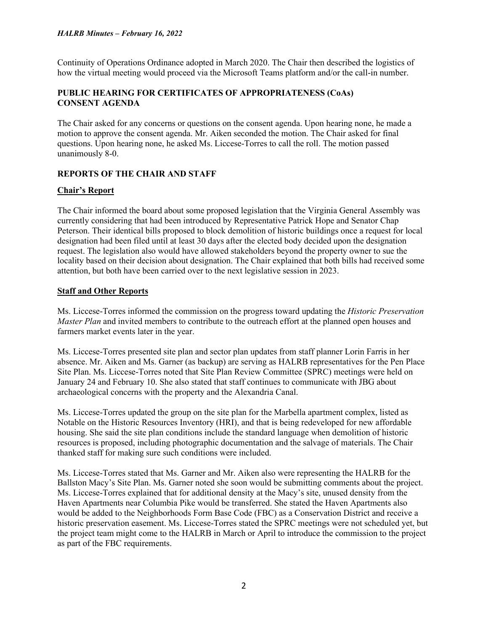Continuity of Operations Ordinance adopted in March 2020. The Chair then described the logistics of how the virtual meeting would proceed via the Microsoft Teams platform and/or the call-in number.

## **PUBLIC HEARING FOR CERTIFICATES OF APPROPRIATENESS (CoAs) CONSENT AGENDA**

The Chair asked for any concerns or questions on the consent agenda. Upon hearing none, he made a motion to approve the consent agenda. Mr. Aiken seconded the motion. The Chair asked for final questions. Upon hearing none, he asked Ms. Liccese-Torres to call the roll. The motion passed unanimously 8-0.

## **REPORTS OF THE CHAIR AND STAFF**

### **Chair's Report**

The Chair informed the board about some proposed legislation that the Virginia General Assembly was currently considering that had been introduced by Representative Patrick Hope and Senator Chap Peterson. Their identical bills proposed to block demolition of historic buildings once a request for local designation had been filed until at least 30 days after the elected body decided upon the designation request. The legislation also would have allowed stakeholders beyond the property owner to sue the locality based on their decision about designation. The Chair explained that both bills had received some attention, but both have been carried over to the next legislative session in 2023.

### **Staff and Other Reports**

Ms. Liccese-Torres informed the commission on the progress toward updating the *Historic Preservation Master Plan* and invited members to contribute to the outreach effort at the planned open houses and farmers market events later in the year.

Ms. Liccese-Torres presented site plan and sector plan updates from staff planner Lorin Farris in her absence. Mr. Aiken and Ms. Garner (as backup) are serving as HALRB representatives for the Pen Place Site Plan. Ms. Liccese-Torres noted that Site Plan Review Committee (SPRC) meetings were held on January 24 and February 10. She also stated that staff continues to communicate with JBG about archaeological concerns with the property and the Alexandria Canal.

Ms. Liccese-Torres updated the group on the site plan for the Marbella apartment complex, listed as Notable on the Historic Resources Inventory (HRI), and that is being redeveloped for new affordable housing. She said the site plan conditions include the standard language when demolition of historic resources is proposed, including photographic documentation and the salvage of materials. The Chair thanked staff for making sure such conditions were included.

Ms. Liccese-Torres stated that Ms. Garner and Mr. Aiken also were representing the HALRB for the Ballston Macy's Site Plan. Ms. Garner noted she soon would be submitting comments about the project. Ms. Liccese-Torres explained that for additional density at the Macy's site, unused density from the Haven Apartments near Columbia Pike would be transferred. She stated the Haven Apartments also would be added to the Neighborhoods Form Base Code (FBC) as a Conservation District and receive a historic preservation easement. Ms. Liccese-Torres stated the SPRC meetings were not scheduled yet, but the project team might come to the HALRB in March or April to introduce the commission to the project as part of the FBC requirements.